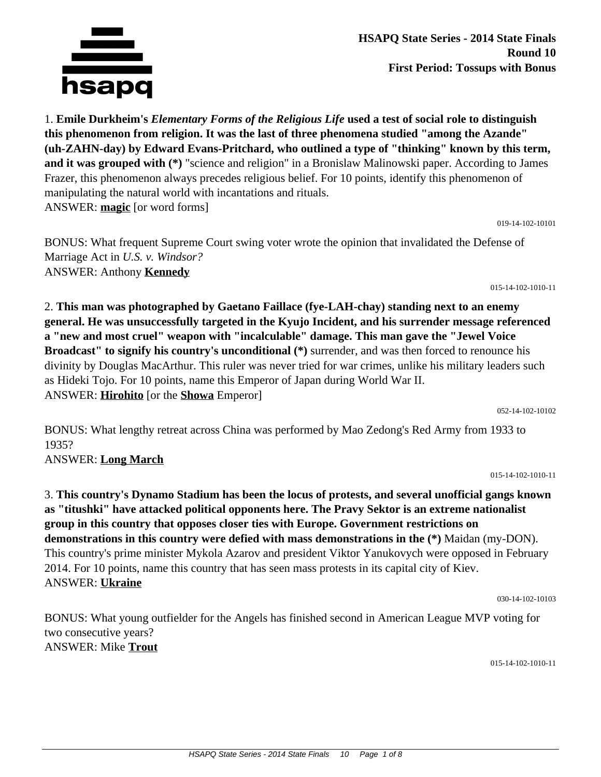

**HSAPQ State Series - 2014 State Finals Round 10 First Period: Tossups with Bonus**

1. **Emile Durkheim's** *Elementary Forms of the Religious Life* **used a test of social role to distinguish this phenomenon from religion. It was the last of three phenomena studied "among the Azande" (uh-ZAHN-day) by Edward Evans-Pritchard, who outlined a type of "thinking" known by this term, and it was grouped with (\*)** "science and religion" in a Bronislaw Malinowski paper. According to James Frazer, this phenomenon always precedes religious belief. For 10 points, identify this phenomenon of manipulating the natural world with incantations and rituals. ANSWER: **magic** [or word forms]

019-14-102-10101

BONUS: What frequent Supreme Court swing voter wrote the opinion that invalidated the Defense of Marriage Act in *U.S. v. Windsor?* ANSWER: Anthony **Kennedy**

015-14-102-1010-11

2. **This man was photographed by Gaetano Faillace (fye-LAH-chay) standing next to an enemy general. He was unsuccessfully targeted in the Kyujo Incident, and his surrender message referenced a "new and most cruel" weapon with "incalculable" damage. This man gave the "Jewel Voice Broadcast" to signify his country's unconditional (\*)** surrender, and was then forced to renounce his divinity by Douglas MacArthur. This ruler was never tried for war crimes, unlike his military leaders such as Hideki Tojo. For 10 points, name this Emperor of Japan during World War II. ANSWER: **Hirohito** [or the **Showa** Emperor]

052-14-102-10102

015-14-102-1010-11

BONUS: What lengthy retreat across China was performed by Mao Zedong's Red Army from 1933 to 1935?

## ANSWER: **Long March**

3. **This country's Dynamo Stadium has been the locus of protests, and several unofficial gangs known as "titushki" have attacked political opponents here. The Pravy Sektor is an extreme nationalist group in this country that opposes closer ties with Europe. Government restrictions on demonstrations in this country were defied with mass demonstrations in the (\*)** Maidan (my-DON). This country's prime minister Mykola Azarov and president Viktor Yanukovych were opposed in February 2014. For 10 points, name this country that has seen mass protests in its capital city of Kiev. ANSWER: **Ukraine**

030-14-102-10103

BONUS: What young outfielder for the Angels has finished second in American League MVP voting for two consecutive years? ANSWER: Mike **Trout**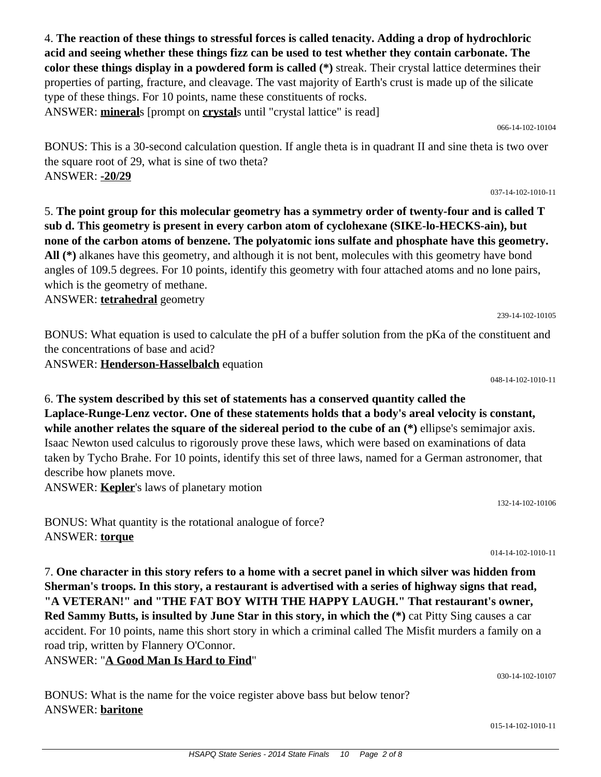4. **The reaction of these things to stressful forces is called tenacity. Adding a drop of hydrochloric acid and seeing whether these things fizz can be used to test whether they contain carbonate. The color these things display in a powdered form is called (\*)** streak. Their crystal lattice determines their properties of parting, fracture, and cleavage. The vast majority of Earth's crust is made up of the silicate type of these things. For 10 points, name these constituents of rocks. ANSWER: **mineral**s [prompt on **crystal**s until "crystal lattice" is read]

066-14-102-10104

BONUS: This is a 30-second calculation question. If angle theta is in quadrant II and sine theta is two over the square root of 29, what is sine of two theta? ANSWER: **-20/29**

037-14-102-1010-11

5. **The point group for this molecular geometry has a symmetry order of twenty-four and is called T sub d. This geometry is present in every carbon atom of cyclohexane (SIKE-lo-HECKS-ain), but none of the carbon atoms of benzene. The polyatomic ions sulfate and phosphate have this geometry. All (\*)** alkanes have this geometry, and although it is not bent, molecules with this geometry have bond angles of 109.5 degrees. For 10 points, identify this geometry with four attached atoms and no lone pairs, which is the geometry of methane.

ANSWER: **tetrahedral** geometry

BONUS: What equation is used to calculate the pH of a buffer solution from the pKa of the constituent and the concentrations of base and acid? ANSWER: **Henderson-Hasselbalch** equation

048-14-102-1010-11

239-14-102-10105

6. **The system described by this set of statements has a conserved quantity called the Laplace-Runge-Lenz vector. One of these statements holds that a body's areal velocity is constant, while another relates the square of the sidereal period to the cube of an (\*)** ellipse's semimajor axis. Isaac Newton used calculus to rigorously prove these laws, which were based on examinations of data taken by Tycho Brahe. For 10 points, identify this set of three laws, named for a German astronomer, that describe how planets move.

ANSWER: **Kepler**'s laws of planetary motion

BONUS: What quantity is the rotational analogue of force? ANSWER: **torque**

BONUS: What is the name for the voice register above bass but below tenor?

014-14-102-1010-11

132-14-102-10106

7. **One character in this story refers to a home with a secret panel in which silver was hidden from Sherman's troops. In this story, a restaurant is advertised with a series of highway signs that read, "A VETERAN!" and "THE FAT BOY WITH THE HAPPY LAUGH." That restaurant's owner, Red Sammy Butts, is insulted by June Star in this story, in which the (\*)** cat Pitty Sing causes a car accident. For 10 points, name this short story in which a criminal called The Misfit murders a family on a road trip, written by Flannery O'Connor.

ANSWER: "**A Good Man Is Hard to Find**"

ANSWER: **baritone**

030-14-102-10107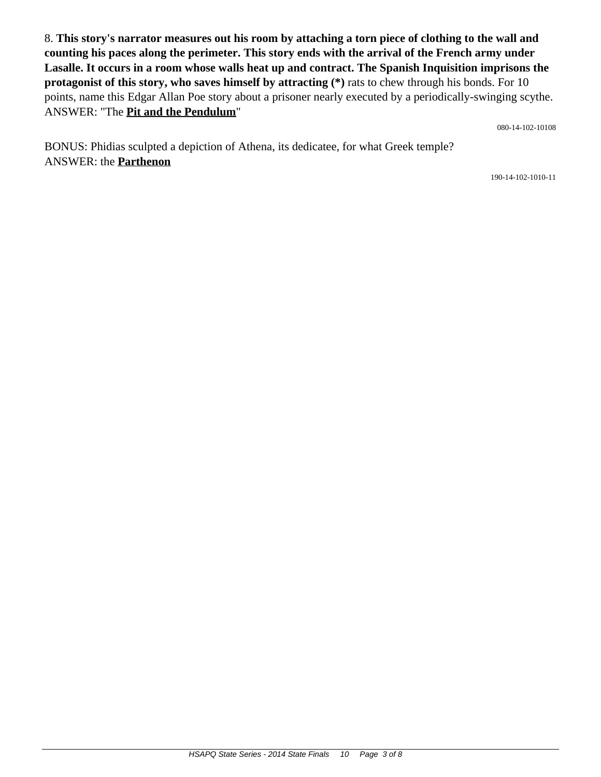8. **This story's narrator measures out his room by attaching a torn piece of clothing to the wall and counting his paces along the perimeter. This story ends with the arrival of the French army under Lasalle. It occurs in a room whose walls heat up and contract. The Spanish Inquisition imprisons the protagonist of this story, who saves himself by attracting (\*)** rats to chew through his bonds. For 10 points, name this Edgar Allan Poe story about a prisoner nearly executed by a periodically-swinging scythe. ANSWER: "The **Pit and the Pendulum**"

080-14-102-10108

BONUS: Phidias sculpted a depiction of Athena, its dedicatee, for what Greek temple? ANSWER: the **Parthenon**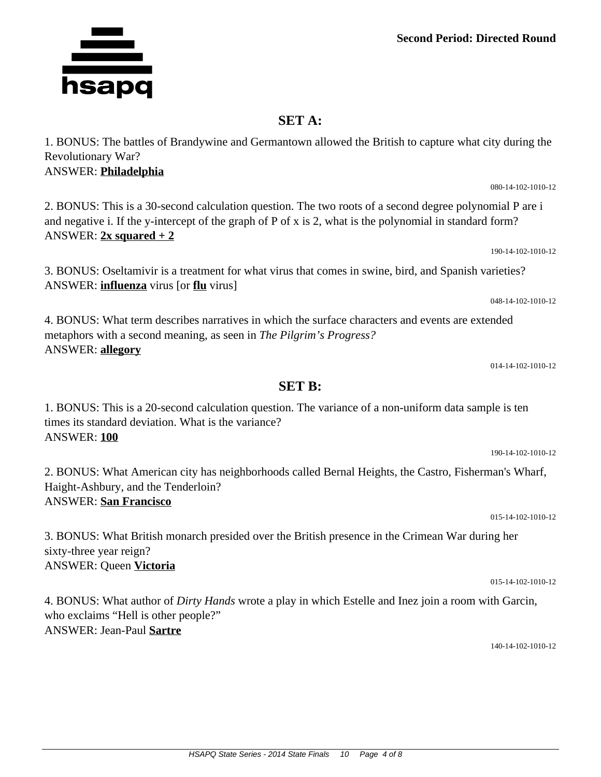## **Second Period: Directed Round**

## **SET A:**

1. BONUS: The battles of Brandywine and Germantown allowed the British to capture what city during the Revolutionary War? ANSWER: **Philadelphia**

2. BONUS: This is a 30-second calculation question. The two roots of a second degree polynomial P are i and negative i. If the y-intercept of the graph of P of x is 2, what is the polynomial in standard form? ANSWER:  $2x$  squared  $+2$ 

3. BONUS: Oseltamivir is a treatment for what virus that comes in swine, bird, and Spanish varieties? ANSWER: **influenza** virus [or **flu** virus]

4. BONUS: What term describes narratives in which the surface characters and events are extended metaphors with a second meaning, as seen in *The Pilgrim's Progress?* ANSWER: **allegory**

014-14-102-1010-12

015-14-102-1010-12

015-14-102-1010-12

who exclaims "Hell is other people?" ANSWER: Jean-Paul **Sartre**

140-14-102-1010-12

**SET B:**

1. BONUS: This is a 20-second calculation question. The variance of a non-uniform data sample is ten times its standard deviation. What is the variance? ANSWER: **100** 190-14-102-1010-12

2. BONUS: What American city has neighborhoods called Bernal Heights, the Castro, Fisherman's Wharf, Haight-Ashbury, and the Tenderloin? ANSWER: **San Francisco**

sixty-three year reign? ANSWER: Queen **Victoria**

4. BONUS: What author of *Dirty Hands* wrote a play in which Estelle and Inez join a room with Garcin,

3. BONUS: What British monarch presided over the British presence in the Crimean War during her

190-14-102-1010-12

048-14-102-1010-12

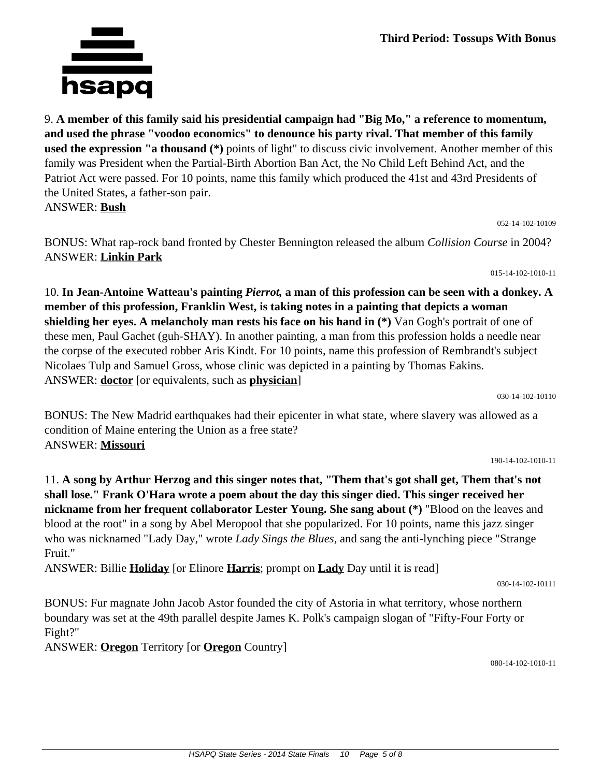9. **A member of this family said his presidential campaign had "Big Mo," a reference to momentum, and used the phrase "voodoo economics" to denounce his party rival. That member of this family used the expression "a thousand (\*)** points of light" to discuss civic involvement. Another member of this family was President when the Partial-Birth Abortion Ban Act, the No Child Left Behind Act, and the Patriot Act were passed. For 10 points, name this family which produced the 41st and 43rd Presidents of the United States, a father-son pair. ANSWER: **Bush**

052-14-102-10109

BONUS: What rap-rock band fronted by Chester Bennington released the album *Collision Course* in 2004? ANSWER: **Linkin Park**

015-14-102-1010-11

10. **In Jean-Antoine Watteau's painting** *Pierrot,* **a man of this profession can be seen with a donkey. A member of this profession, Franklin West, is taking notes in a painting that depicts a woman shielding her eyes. A melancholy man rests his face on his hand in (\*)** Van Gogh's portrait of one of these men, Paul Gachet (guh-SHAY). In another painting, a man from this profession holds a needle near the corpse of the executed robber Aris Kindt. For 10 points, name this profession of Rembrandt's subject Nicolaes Tulp and Samuel Gross, whose clinic was depicted in a painting by Thomas Eakins. ANSWER: **doctor** [or equivalents, such as **physician**]

030-14-102-10110

BONUS: The New Madrid earthquakes had their epicenter in what state, where slavery was allowed as a condition of Maine entering the Union as a free state? ANSWER: **Missouri**

190-14-102-1010-11

11. **A song by Arthur Herzog and this singer notes that, "Them that's got shall get, Them that's not shall lose." Frank O'Hara wrote a poem about the day this singer died. This singer received her nickname from her frequent collaborator Lester Young. She sang about (\*)** "Blood on the leaves and blood at the root" in a song by Abel Meropool that she popularized. For 10 points, name this jazz singer who was nicknamed "Lady Day," wrote *Lady Sings the Blues,* and sang the anti-lynching piece "Strange Fruit."

ANSWER: Billie **Holiday** [or Elinore **Harris**; prompt on **Lady** Day until it is read]

030-14-102-10111

BONUS: Fur magnate John Jacob Astor founded the city of Astoria in what territory, whose northern boundary was set at the 49th parallel despite James K. Polk's campaign slogan of "Fifty-Four Forty or Fight?"

ANSWER: **Oregon** Territory [or **Oregon** Country]

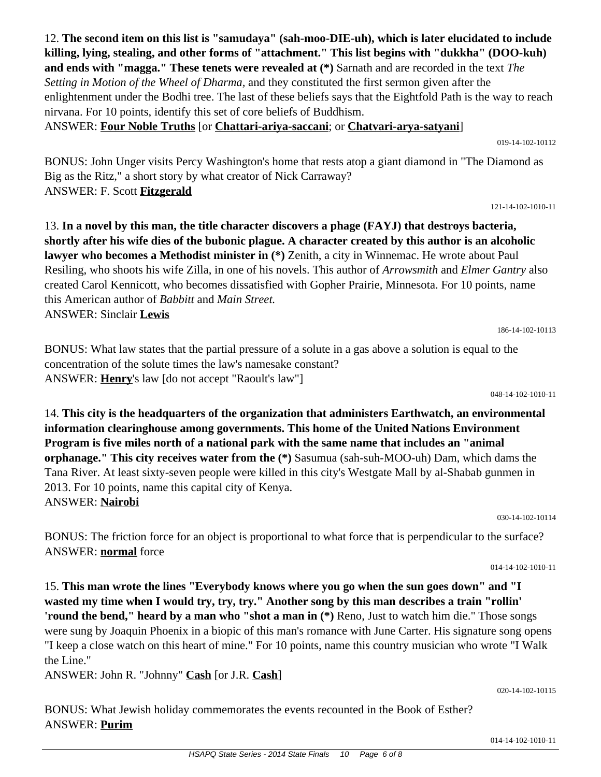12. **The second item on this list is "samudaya" (sah-moo-DIE-uh), which is later elucidated to include killing, lying, stealing, and other forms of "attachment." This list begins with "dukkha" (DOO-kuh) and ends with "magga." These tenets were revealed at (\*)** Sarnath and are recorded in the text *The Setting in Motion of the Wheel of Dharma,* and they constituted the first sermon given after the enlightenment under the Bodhi tree. The last of these beliefs says that the Eightfold Path is the way to reach nirvana. For 10 points, identify this set of core beliefs of Buddhism.

ANSWER: **Four Noble Truths** [or **Chattari-ariya-saccani**; or **Chatvari-arya-satyani**]

019-14-102-10112

BONUS: John Unger visits Percy Washington's home that rests atop a giant diamond in "The Diamond as Big as the Ritz," a short story by what creator of Nick Carraway? ANSWER: F. Scott **Fitzgerald**

121-14-102-1010-11

13. **In a novel by this man, the title character discovers a phage (FAYJ) that destroys bacteria, shortly after his wife dies of the bubonic plague. A character created by this author is an alcoholic lawyer who becomes a Methodist minister in (\*)** Zenith, a city in Winnemac. He wrote about Paul Resiling, who shoots his wife Zilla, in one of his novels. This author of *Arrowsmith* and *Elmer Gantry* also created Carol Kennicott, who becomes dissatisfied with Gopher Prairie, Minnesota. For 10 points, name this American author of *Babbitt* and *Main Street.* ANSWER: Sinclair **Lewis**

186-14-102-10113

BONUS: What law states that the partial pressure of a solute in a gas above a solution is equal to the concentration of the solute times the law's namesake constant? ANSWER: **Henry**'s law [do not accept "Raoult's law"]

048-14-102-1010-11

14. **This city is the headquarters of the organization that administers Earthwatch, an environmental information clearinghouse among governments. This home of the United Nations Environment Program is five miles north of a national park with the same name that includes an "animal orphanage." This city receives water from the (\*)** Sasumua (sah-suh-MOO-uh) Dam, which dams the Tana River. At least sixty-seven people were killed in this city's Westgate Mall by al-Shabab gunmen in 2013. For 10 points, name this capital city of Kenya. ANSWER: **Nairobi**

030-14-102-10114

BONUS: The friction force for an object is proportional to what force that is perpendicular to the surface? ANSWER: **normal** force

014-14-102-1010-11

15. **This man wrote the lines "Everybody knows where you go when the sun goes down" and "I wasted my time when I would try, try, try." Another song by this man describes a train "rollin' 'round the bend," heard by a man who "shot a man in (\*)** Reno, Just to watch him die." Those songs were sung by Joaquin Phoenix in a biopic of this man's romance with June Carter. His signature song opens "I keep a close watch on this heart of mine." For 10 points, name this country musician who wrote "I Walk the Line."

ANSWER: John R. "Johnny" **Cash** [or J.R. **Cash**]

BONUS: What Jewish holiday commemorates the events recounted in the Book of Esther? ANSWER: **Purim**

014-14-102-1010-11

020-14-102-10115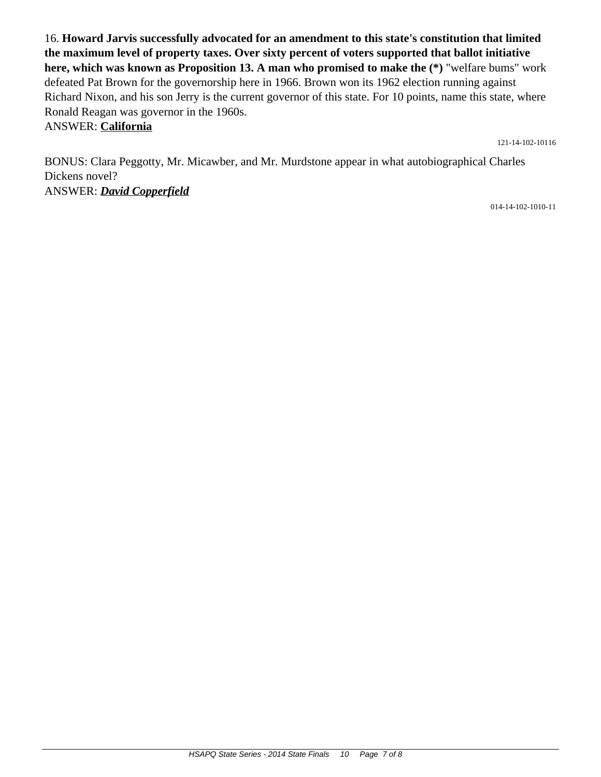16. **Howard Jarvis successfully advocated for an amendment to this state's constitution that limited the maximum level of property taxes. Over sixty percent of voters supported that ballot initiative here, which was known as Proposition 13. A man who promised to make the (\*)** "welfare bums" work defeated Pat Brown for the governorship here in 1966. Brown won its 1962 election running against Richard Nixon, and his son Jerry is the current governor of this state. For 10 points, name this state, where Ronald Reagan was governor in the 1960s.

ANSWER: **California**

121-14-102-10116

BONUS: Clara Peggotty, Mr. Micawber, and Mr. Murdstone appear in what autobiographical Charles Dickens novel? ANSWER: *David Copperfield*